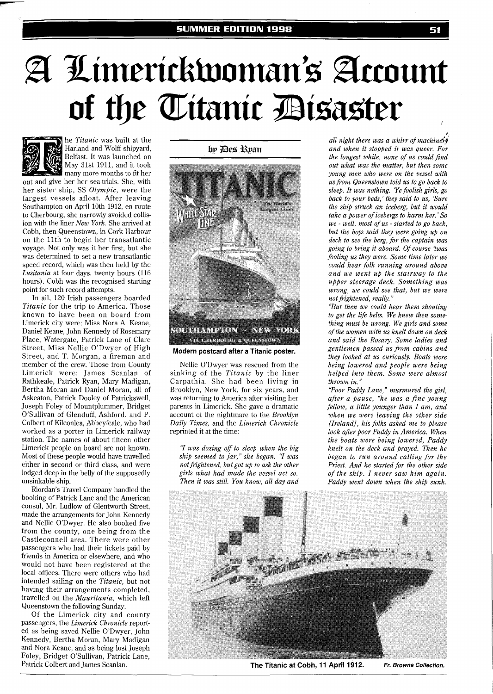## A Limerickwoman's Account of the Titanic Disaster



he *Titanic* was built at the Harland and Wolff shipyard, Belfast. It was launched on May 31st 1911, and it took

many more months to fit her out and give her her sea-trials. She, with her sister ship, SS *Olympic,* were the largest vessels afloat. After leaving Southampton on April 10th 1912, en route to Cherbourg, she narrowly avoided collision with the liner *New York.* She arrived at Cobh, then Queenstown, in Cork Harbour on the 11th to begin her transatlantic voyage. Not only was it her first, but she was determined to set a new transatlantic speed record, which was then held by the *Lusitania* at four days, twenty hours (116 hours). Cobh was the recognised starting point for such record attempts.

In all, 120 Irish passengers boarded *Titanic* for the trip to America. Those known to have been on board from Limerick city were: Miss Nora A. Keane, Daniel Keane, John Kennedy of Rosemary Place, Watergate, Patrick Lane of Clare Street, Miss Nellie O'Dwyer of High Street, and T. Morgan, a fireman and member of the crew. Those from County Limerick were: James Scanlan of Rathkeale, Patrick Ryan, Mary Madigan, Bertha Moran and Daniel Moran, all of Askeaton, Patrick Dooley of Patrickswell, Joseph Foley of Mountplummer, Bridget O'Sullivan of Glenduff, Ashford, and P. Colbert of Kilconlea, Abbeyfeale, who had worked as a porter in Limerick railway station. The names of about fifteen other Limerick people on board are not known. Most of these people would have travelled either in second or third class, and were lodged deep in the belly of the supposedly unsinkable ship.

Riordan's Travel Company handled the booking of Patrick Lane and the American consul, Mr. Ludlow of Glentworth Street, made the arrangements for John Kennedy and Nellie O'Dwyer. He also booked five from the county, one being from the Castleconnell area. There were other passengers who had their tickets paid by friends in America or elsewhere, and who would not have been registered at the local offices. There were others who had intended sailing on the *Titanic,* but not having their arrangements completed, travelled on the *Mauritania,* which left Queenstown the following Sunday.

Of the Limerick city and county passengers, the *Limerick Chronicle* reported as being saved Nellie O'Dwyer, John Kennedy, Bertha Moran, Mary Madigan and Nora Keane, and as being lost Joseph Foley, Bridget O'Sullivan, Patrick Lane, Patrick Colbert and James Scanlan.

br Des Rran



**Modern postcard after a Titanic poster.** 

Nellie O'Dwyer was rescued from the sinking of the *Titanic* by the liner Carpathia. She had been living in Brooklyn, New York, for six years, and was returning to America after visiting her parents in Limerick. She gave a dramatic account of the nightmare to the *Brooklyn Daily Times,* and the *Limerick Chronicle*  reprinted it at the time:

*'7 was dozing off to sleep when the big ship seemed to jar," she began.* "I *was not frightened, but got up to ask the other girls what had made the vessel act so. Then it was still. You know, all day and* 

*r all night there was a whirr of muchin& and when it stopped it was queer. For the longest while, none of us could find out what was the matter, but then some young men who were on the vessel with us from Queenstown told us to go back to sleep. It was nothing. Ye foolish girls, go back to your beds,' they said to us, 'Sure the ship struck an iceberg, but it would take a power of icebergs to harm her.' So we* - *well, most of us* - *started to go back, but the boys said they were going up on deck to see the berg, for the captain was going to bring it aboard. Of course 'twas fooling us they were. Some time later we could hear folk running around above and we went up the stairway to the upper steerage deck. Something was wrong, we could see that, but we were not frightened, really."* 

*'But then we could hear them shouting*  to get the life belts. We knew then some*thing must be wrong. We girls and some of the women with us knelt down on deck and said the Rosary. Some ladies and gentlemen passed us from cabins and they looked at us curiously. Boats were being lowered and people were being helped into them. Some were almost thrown in."* 

*"Poor Paddy Lane," murmured the girl, after a pause, "he was a fine young fellow, a little younger than I am, and when we were leaving the other side [Ireland], his folks asked me to please look after poor Paddy in America. When the boats were being lowered, Paddy knelt on the deck and prayed. Then he began to run around calling for the Priest. And he started for the other side of the ship. I never saw him again. Paddy went down when the ship sunk.* 



**The Titanic at Cobh, 11 April 1912. Fr. Browne Collection.**